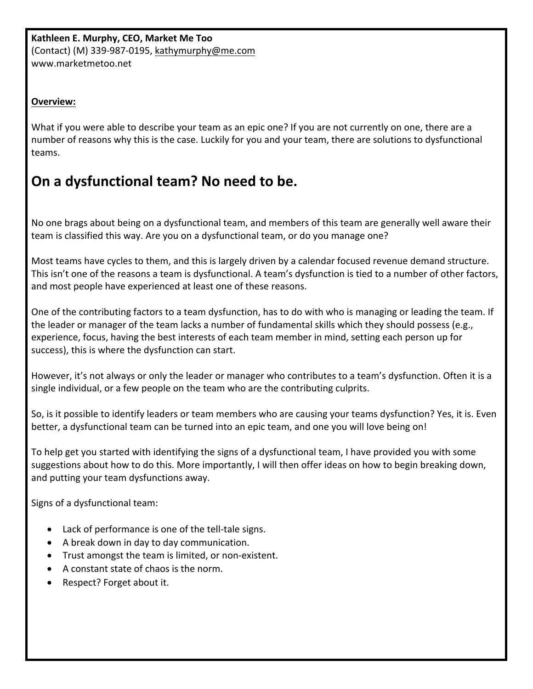## **Overview:**

What if you were able to describe your team as an epic one? If you are not currently on one, there are a number of reasons why this is the case. Luckily for you and your team, there are solutions to dysfunctional teams.

## **On a dysfunctional team? No need to be.**

No one brags about being on a dysfunctional team, and members of this team are generally well aware their team is classified this way. Are you on a dysfunctional team, or do you manage one?

Most teams have cycles to them, and this is largely driven by a calendar focused revenue demand structure. This isn't one of the reasons a team is dysfunctional. A team's dysfunction is tied to a number of other factors, and most people have experienced at least one of these reasons.

One of the contributing factors to a team dysfunction, has to do with who is managing or leading the team. If the leader or manager of the team lacks a number of fundamental skills which they should possess (e.g., experience, focus, having the best interests of each team member in mind, setting each person up for success), this is where the dysfunction can start.

However, it's not always or only the leader or manager who contributes to a team's dysfunction. Often it is a single individual, or a few people on the team who are the contributing culprits.

So, is it possible to identify leaders or team members who are causing your teams dysfunction? Yes, it is. Even better, a dysfunctional team can be turned into an epic team, and one you will love being on!

To help get you started with identifying the signs of a dysfunctional team, I have provided you with some suggestions about how to do this. More importantly, I will then offer ideas on how to begin breaking down, and putting your team dysfunctions away.

Signs of a dysfunctional team:

- Lack of performance is one of the tell-tale signs.
- A break down in day to day communication.
- Trust amongst the team is limited, or non-existent.
- A constant state of chaos is the norm.
- Respect? Forget about it.